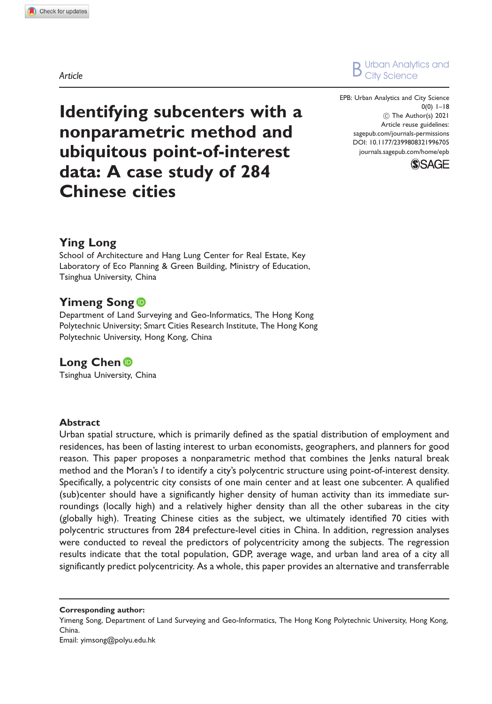Article



EPB: Urban Analytics and City Science 0(0) 1–18 C The Author(s) 2021 Article reuse guidelines: [sagepub.com/journals-permissions](http://uk.sagepub.com/en-gb/journals-permissions) [DOI: 10.1177/2399808321996705](http://dx.doi.org/10.1177/2399808321996705) <journals.sagepub.com/home/epb>



# Identifying subcenters with a nonparametric method and ubiquitous point-of-interest data: A case study of 284 Chinese cities

# Ying Long

School of Architecture and Hang Lung Center for Real Estate, Key Laboratory of Eco Planning & Green Building, Ministry of Education, Tsinghua University, China

# **Yimeng Song**

Department of Land Surveying and Geo-Informatics, The Hong Kong Polytechnic University; Smart Cities Research Institute, The Hong Kong Polytechnic University, Hong Kong, China

# Long Chen <sup>iD</sup>

Tsinghua University, China

#### **Abstract**

Urban spatial structure, which is primarily defined as the spatial distribution of employment and residences, has been of lasting interest to urban economists, geographers, and planners for good reason. This paper proposes a nonparametric method that combines the Jenks natural break method and the Moran's I to identify a city's polycentric structure using point-of-interest density. Specifically, a polycentric city consists of one main center and at least one subcenter. A qualified (sub)center should have a significantly higher density of human activity than its immediate surroundings (locally high) and a relatively higher density than all the other subareas in the city (globally high). Treating Chinese cities as the subject, we ultimately identified 70 cities with polycentric structures from 284 prefecture-level cities in China. In addition, regression analyses were conducted to reveal the predictors of polycentricity among the subjects. The regression results indicate that the total population, GDP, average wage, and urban land area of a city all significantly predict polycentricity. As a whole, this paper provides an alternative and transferrable

Corresponding author: Yimeng Song, Department of Land Surveying and Geo-Informatics, The Hong Kong Polytechnic University, Hong Kong, China. Email: [yimsong@polyu.edu.hk](mailto:yimsong@polyu.edu.hk)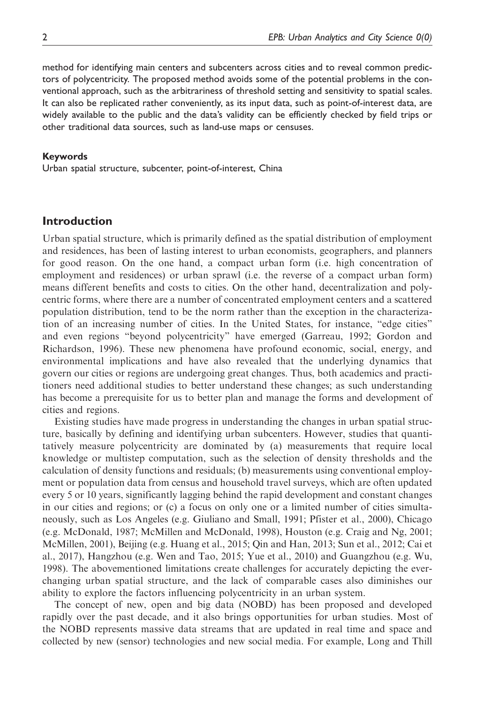method for identifying main centers and subcenters across cities and to reveal common predictors of polycentricity. The proposed method avoids some of the potential problems in the conventional approach, such as the arbitrariness of threshold setting and sensitivity to spatial scales. It can also be replicated rather conveniently, as its input data, such as point-of-interest data, are widely available to the public and the data's validity can be efficiently checked by field trips or other traditional data sources, such as land-use maps or censuses.

#### Keywords

Urban spatial structure, subcenter, point-of-interest, China

## Introduction

Urban spatial structure, which is primarily defined as the spatial distribution of employment and residences, has been of lasting interest to urban economists, geographers, and planners for good reason. On the one hand, a compact urban form (i.e. high concentration of employment and residences) or urban sprawl (i.e. the reverse of a compact urban form) means different benefits and costs to cities. On the other hand, decentralization and polycentric forms, where there are a number of concentrated employment centers and a scattered population distribution, tend to be the norm rather than the exception in the characterization of an increasing number of cities. In the United States, for instance, "edge cities" and even regions "beyond polycentricity" have emerged (Garreau, 1992; Gordon and Richardson, 1996). These new phenomena have profound economic, social, energy, and environmental implications and have also revealed that the underlying dynamics that govern our cities or regions are undergoing great changes. Thus, both academics and practitioners need additional studies to better understand these changes; as such understanding has become a prerequisite for us to better plan and manage the forms and development of cities and regions.

Existing studies have made progress in understanding the changes in urban spatial structure, basically by defining and identifying urban subcenters. However, studies that quantitatively measure polycentricity are dominated by (a) measurements that require local knowledge or multistep computation, such as the selection of density thresholds and the calculation of density functions and residuals; (b) measurements using conventional employment or population data from census and household travel surveys, which are often updated every 5 or 10 years, significantly lagging behind the rapid development and constant changes in our cities and regions; or (c) a focus on only one or a limited number of cities simultaneously, such as Los Angeles (e.g. Giuliano and Small, 1991; Pfister et al., 2000), Chicago (e.g. McDonald, 1987; McMillen and McDonald, 1998), Houston (e.g. Craig and Ng, 2001; McMillen, 2001), Beijing (e.g. Huang et al., 2015; Qin and Han, 2013; Sun et al., 2012; Cai et al., 2017), Hangzhou (e.g. Wen and Tao, 2015; Yue et al., 2010) and Guangzhou (e.g. Wu, 1998). The abovementioned limitations create challenges for accurately depicting the everchanging urban spatial structure, and the lack of comparable cases also diminishes our ability to explore the factors influencing polycentricity in an urban system.

The concept of new, open and big data (NOBD) has been proposed and developed rapidly over the past decade, and it also brings opportunities for urban studies. Most of the NOBD represents massive data streams that are updated in real time and space and collected by new (sensor) technologies and new social media. For example, Long and Thill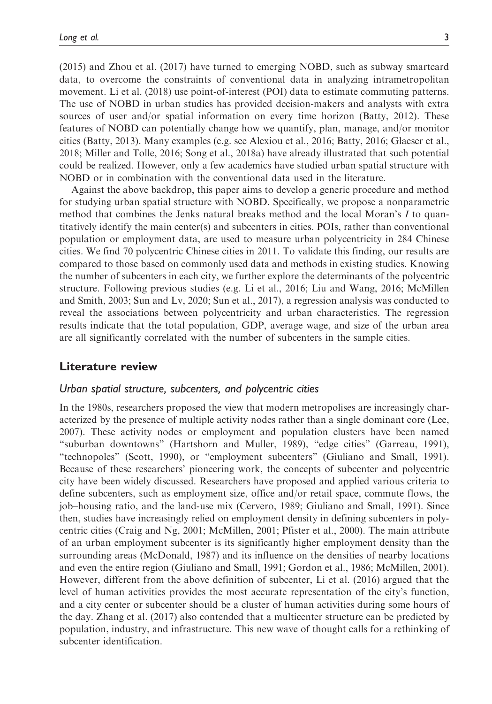(2015) and Zhou et al. (2017) have turned to emerging NOBD, such as subway smartcard data, to overcome the constraints of conventional data in analyzing intrametropolitan movement. Li et al. (2018) use point-of-interest (POI) data to estimate commuting patterns. The use of NOBD in urban studies has provided decision-makers and analysts with extra sources of user and/or spatial information on every time horizon (Batty, 2012). These features of NOBD can potentially change how we quantify, plan, manage, and/or monitor cities (Batty, 2013). Many examples (e.g. see Alexiou et al., 2016; Batty, 2016; Glaeser et al., 2018; Miller and Tolle, 2016; Song et al., 2018a) have already illustrated that such potential could be realized. However, only a few academics have studied urban spatial structure with NOBD or in combination with the conventional data used in the literature.

Against the above backdrop, this paper aims to develop a generic procedure and method for studying urban spatial structure with NOBD. Specifically, we propose a nonparametric method that combines the Jenks natural breaks method and the local Moran's I to quantitatively identify the main center(s) and subcenters in cities. POIs, rather than conventional population or employment data, are used to measure urban polycentricity in 284 Chinese cities. We find 70 polycentric Chinese cities in 2011. To validate this finding, our results are compared to those based on commonly used data and methods in existing studies. Knowing the number of subcenters in each city, we further explore the determinants of the polycentric structure. Following previous studies (e.g. Li et al., 2016; Liu and Wang, 2016; McMillen and Smith, 2003; Sun and Lv, 2020; Sun et al., 2017), a regression analysis was conducted to reveal the associations between polycentricity and urban characteristics. The regression results indicate that the total population, GDP, average wage, and size of the urban area are all significantly correlated with the number of subcenters in the sample cities.

#### Literature review

#### Urban spatial structure, subcenters, and polycentric cities

In the 1980s, researchers proposed the view that modern metropolises are increasingly characterized by the presence of multiple activity nodes rather than a single dominant core (Lee, 2007). These activity nodes or employment and population clusters have been named "suburban downtowns" (Hartshorn and Muller, 1989), "edge cities" (Garreau, 1991), "technopoles" (Scott, 1990), or "employment subcenters" (Giuliano and Small, 1991). Because of these researchers' pioneering work, the concepts of subcenter and polycentric city have been widely discussed. Researchers have proposed and applied various criteria to define subcenters, such as employment size, office and/or retail space, commute flows, the job–housing ratio, and the land-use mix (Cervero, 1989; Giuliano and Small, 1991). Since then, studies have increasingly relied on employment density in defining subcenters in polycentric cities (Craig and Ng, 2001; McMillen, 2001; Pfister et al., 2000). The main attribute of an urban employment subcenter is its significantly higher employment density than the surrounding areas (McDonald, 1987) and its influence on the densities of nearby locations and even the entire region (Giuliano and Small, 1991; Gordon et al., 1986; McMillen, 2001). However, different from the above definition of subcenter, Li et al. (2016) argued that the level of human activities provides the most accurate representation of the city's function, and a city center or subcenter should be a cluster of human activities during some hours of the day. Zhang et al. (2017) also contended that a multicenter structure can be predicted by population, industry, and infrastructure. This new wave of thought calls for a rethinking of subcenter identification.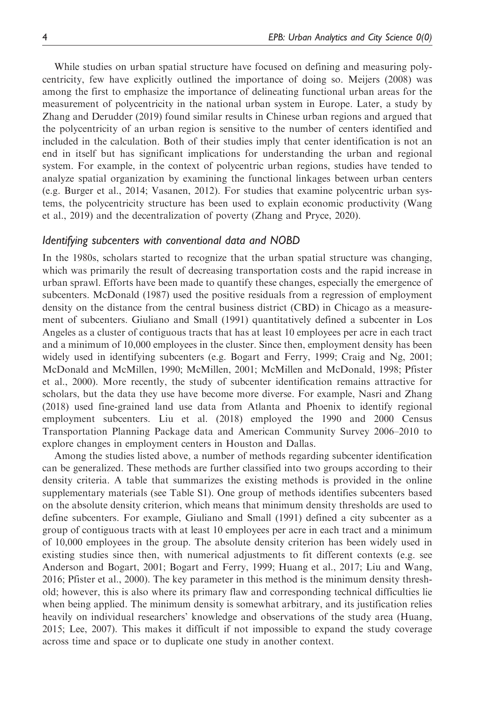While studies on urban spatial structure have focused on defining and measuring polycentricity, few have explicitly outlined the importance of doing so. Meijers (2008) was among the first to emphasize the importance of delineating functional urban areas for the measurement of polycentricity in the national urban system in Europe. Later, a study by Zhang and Derudder (2019) found similar results in Chinese urban regions and argued that the polycentricity of an urban region is sensitive to the number of centers identified and included in the calculation. Both of their studies imply that center identification is not an end in itself but has significant implications for understanding the urban and regional system. For example, in the context of polycentric urban regions, studies have tended to analyze spatial organization by examining the functional linkages between urban centers (e.g. Burger et al., 2014; Vasanen, 2012). For studies that examine polycentric urban systems, the polycentricity structure has been used to explain economic productivity (Wang et al., 2019) and the decentralization of poverty (Zhang and Pryce, 2020).

#### Identifying subcenters with conventional data and NOBD

In the 1980s, scholars started to recognize that the urban spatial structure was changing, which was primarily the result of decreasing transportation costs and the rapid increase in urban sprawl. Efforts have been made to quantify these changes, especially the emergence of subcenters. McDonald (1987) used the positive residuals from a regression of employment density on the distance from the central business district (CBD) in Chicago as a measurement of subcenters. Giuliano and Small (1991) quantitatively defined a subcenter in Los Angeles as a cluster of contiguous tracts that has at least 10 employees per acre in each tract and a minimum of 10,000 employees in the cluster. Since then, employment density has been widely used in identifying subcenters (e.g. Bogart and Ferry, 1999; Craig and Ng, 2001; McDonald and McMillen, 1990; McMillen, 2001; McMillen and McDonald, 1998; Pfister et al., 2000). More recently, the study of subcenter identification remains attractive for scholars, but the data they use have become more diverse. For example, Nasri and Zhang (2018) used fine-grained land use data from Atlanta and Phoenix to identify regional employment subcenters. Liu et al. (2018) employed the 1990 and 2000 Census Transportation Planning Package data and American Community Survey 2006–2010 to explore changes in employment centers in Houston and Dallas.

Among the studies listed above, a number of methods regarding subcenter identification can be generalized. These methods are further classified into two groups according to their density criteria. A table that summarizes the existing methods is provided in the online supplementary materials (see Table S1). One group of methods identifies subcenters based on the absolute density criterion, which means that minimum density thresholds are used to define subcenters. For example, Giuliano and Small (1991) defined a city subcenter as a group of contiguous tracts with at least 10 employees per acre in each tract and a minimum of 10,000 employees in the group. The absolute density criterion has been widely used in existing studies since then, with numerical adjustments to fit different contexts (e.g. see Anderson and Bogart, 2001; Bogart and Ferry, 1999; Huang et al., 2017; Liu and Wang, 2016; Pfister et al., 2000). The key parameter in this method is the minimum density threshold; however, this is also where its primary flaw and corresponding technical difficulties lie when being applied. The minimum density is somewhat arbitrary, and its justification relies heavily on individual researchers' knowledge and observations of the study area (Huang, 2015; Lee, 2007). This makes it difficult if not impossible to expand the study coverage across time and space or to duplicate one study in another context.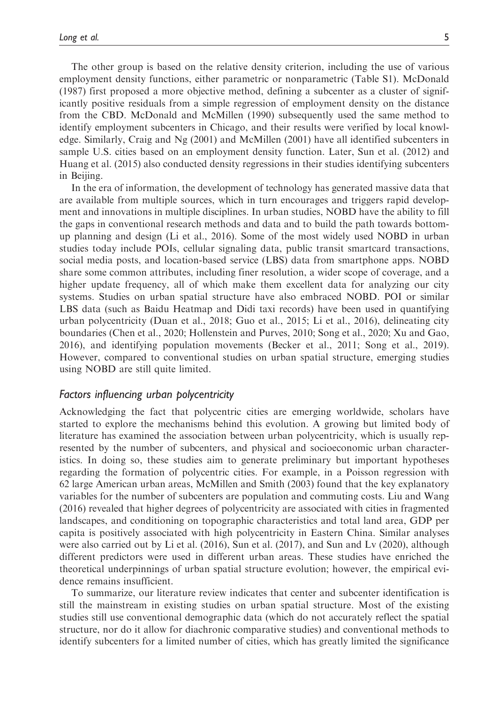The other group is based on the relative density criterion, including the use of various employment density functions, either parametric or nonparametric (Table S1). McDonald (1987) first proposed a more objective method, defining a subcenter as a cluster of significantly positive residuals from a simple regression of employment density on the distance from the CBD. McDonald and McMillen (1990) subsequently used the same method to identify employment subcenters in Chicago, and their results were verified by local knowledge. Similarly, Craig and Ng (2001) and McMillen (2001) have all identified subcenters in sample U.S. cities based on an employment density function. Later, Sun et al. (2012) and Huang et al. (2015) also conducted density regressions in their studies identifying subcenters in Beijing.

In the era of information, the development of technology has generated massive data that are available from multiple sources, which in turn encourages and triggers rapid development and innovations in multiple disciplines. In urban studies, NOBD have the ability to fill the gaps in conventional research methods and data and to build the path towards bottomup planning and design (Li et al., 2016). Some of the most widely used NOBD in urban studies today include POIs, cellular signaling data, public transit smartcard transactions, social media posts, and location-based service (LBS) data from smartphone apps. NOBD share some common attributes, including finer resolution, a wider scope of coverage, and a higher update frequency, all of which make them excellent data for analyzing our city systems. Studies on urban spatial structure have also embraced NOBD. POI or similar LBS data (such as Baidu Heatmap and Didi taxi records) have been used in quantifying urban polycentricity (Duan et al., 2018; Guo et al., 2015; Li et al., 2016), delineating city boundaries (Chen et al., 2020; Hollenstein and Purves, 2010; Song et al., 2020; Xu and Gao, 2016), and identifying population movements (Becker et al., 2011; Song et al., 2019). However, compared to conventional studies on urban spatial structure, emerging studies using NOBD are still quite limited.

#### Factors influencing urban polycentricity

Acknowledging the fact that polycentric cities are emerging worldwide, scholars have started to explore the mechanisms behind this evolution. A growing but limited body of literature has examined the association between urban polycentricity, which is usually represented by the number of subcenters, and physical and socioeconomic urban characteristics. In doing so, these studies aim to generate preliminary but important hypotheses regarding the formation of polycentric cities. For example, in a Poisson regression with 62 large American urban areas, McMillen and Smith (2003) found that the key explanatory variables for the number of subcenters are population and commuting costs. Liu and Wang (2016) revealed that higher degrees of polycentricity are associated with cities in fragmented landscapes, and conditioning on topographic characteristics and total land area, GDP per capita is positively associated with high polycentricity in Eastern China. Similar analyses were also carried out by Li et al. (2016), Sun et al. (2017), and Sun and Lv (2020), although different predictors were used in different urban areas. These studies have enriched the theoretical underpinnings of urban spatial structure evolution; however, the empirical evidence remains insufficient.

To summarize, our literature review indicates that center and subcenter identification is still the mainstream in existing studies on urban spatial structure. Most of the existing studies still use conventional demographic data (which do not accurately reflect the spatial structure, nor do it allow for diachronic comparative studies) and conventional methods to identify subcenters for a limited number of cities, which has greatly limited the significance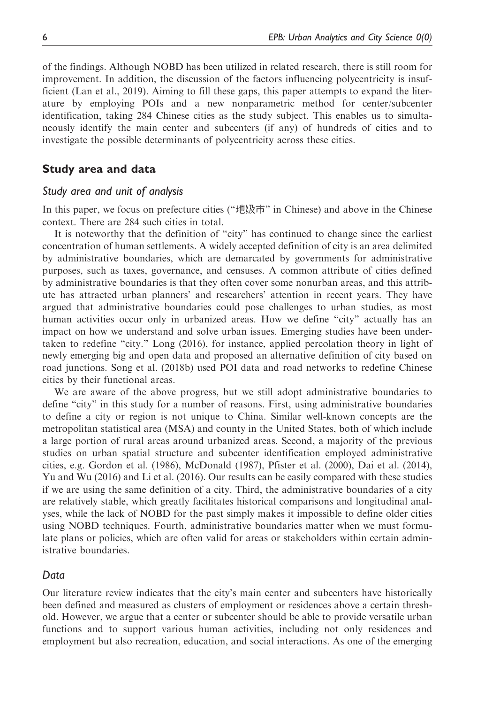of the findings. Although NOBD has been utilized in related research, there is still room for improvement. In addition, the discussion of the factors influencing polycentricity is insufficient (Lan et al., 2019). Aiming to fill these gaps, this paper attempts to expand the literature by employing POIs and a new nonparametric method for center/subcenter identification, taking 284 Chinese cities as the study subject. This enables us to simultaneously identify the main center and subcenters (if any) of hundreds of cities and to investigate the possible determinants of polycentricity across these cities.

## Study area and data

#### Study area and unit of analysis

In this paper, we focus on prefecture cities ("地级市" in Chinese) and above in the Chinese context. There are 284 such cities in total.

It is noteworthy that the definition of "city" has continued to change since the earliest concentration of human settlements. A widely accepted definition of city is an area delimited by administrative boundaries, which are demarcated by governments for administrative purposes, such as taxes, governance, and censuses. A common attribute of cities defined by administrative boundaries is that they often cover some nonurban areas, and this attribute has attracted urban planners' and researchers' attention in recent years. They have argued that administrative boundaries could pose challenges to urban studies, as most human activities occur only in urbanized areas. How we define "city" actually has an impact on how we understand and solve urban issues. Emerging studies have been undertaken to redefine "city." Long (2016), for instance, applied percolation theory in light of newly emerging big and open data and proposed an alternative definition of city based on road junctions. Song et al. (2018b) used POI data and road networks to redefine Chinese cities by their functional areas.

We are aware of the above progress, but we still adopt administrative boundaries to define "city" in this study for a number of reasons. First, using administrative boundaries to define a city or region is not unique to China. Similar well-known concepts are the metropolitan statistical area (MSA) and county in the United States, both of which include a large portion of rural areas around urbanized areas. Second, a majority of the previous studies on urban spatial structure and subcenter identification employed administrative cities, e.g. Gordon et al. (1986), McDonald (1987), Pfister et al. (2000), Dai et al. (2014), Yu and Wu (2016) and Li et al. (2016). Our results can be easily compared with these studies if we are using the same definition of a city. Third, the administrative boundaries of a city are relatively stable, which greatly facilitates historical comparisons and longitudinal analyses, while the lack of NOBD for the past simply makes it impossible to define older cities using NOBD techniques. Fourth, administrative boundaries matter when we must formulate plans or policies, which are often valid for areas or stakeholders within certain administrative boundaries.

#### Data

Our literature review indicates that the city's main center and subcenters have historically been defined and measured as clusters of employment or residences above a certain threshold. However, we argue that a center or subcenter should be able to provide versatile urban functions and to support various human activities, including not only residences and employment but also recreation, education, and social interactions. As one of the emerging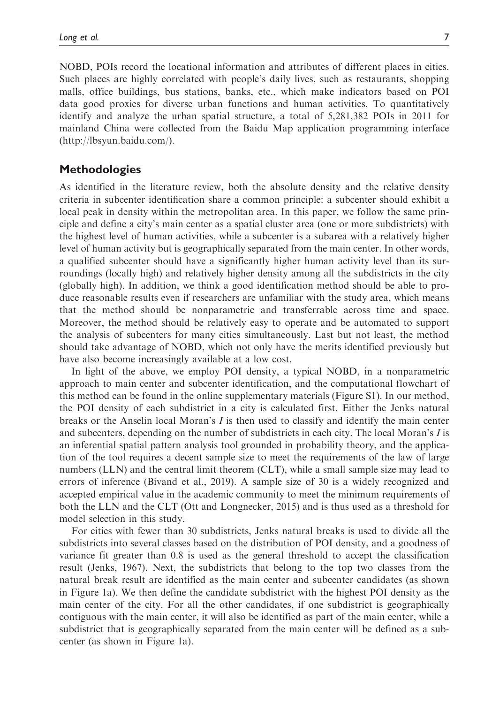NOBD, POIs record the locational information and attributes of different places in cities. Such places are highly correlated with people's daily lives, such as restaurants, shopping malls, office buildings, bus stations, banks, etc., which make indicators based on POI data good proxies for diverse urban functions and human activities. To quantitatively identify and analyze the urban spatial structure, a total of 5,281,382 POIs in 2011 for mainland China were collected from the Baidu Map application programming interface (<http://lbsyun.baidu.com/>).

#### **Methodologies**

As identified in the literature review, both the absolute density and the relative density criteria in subcenter identification share a common principle: a subcenter should exhibit a local peak in density within the metropolitan area. In this paper, we follow the same principle and define a city's main center as a spatial cluster area (one or more subdistricts) with the highest level of human activities, while a subcenter is a subarea with a relatively higher level of human activity but is geographically separated from the main center. In other words, a qualified subcenter should have a significantly higher human activity level than its surroundings (locally high) and relatively higher density among all the subdistricts in the city (globally high). In addition, we think a good identification method should be able to produce reasonable results even if researchers are unfamiliar with the study area, which means that the method should be nonparametric and transferrable across time and space. Moreover, the method should be relatively easy to operate and be automated to support the analysis of subcenters for many cities simultaneously. Last but not least, the method should take advantage of NOBD, which not only have the merits identified previously but have also become increasingly available at a low cost.

In light of the above, we employ POI density, a typical NOBD, in a nonparametric approach to main center and subcenter identification, and the computational flowchart of this method can be found in the online supplementary materials (Figure S1). In our method, the POI density of each subdistrict in a city is calculated first. Either the Jenks natural breaks or the Anselin local Moran's I is then used to classify and identify the main center and subcenters, depending on the number of subdistricts in each city. The local Moran's I is an inferential spatial pattern analysis tool grounded in probability theory, and the application of the tool requires a decent sample size to meet the requirements of the law of large numbers (LLN) and the central limit theorem (CLT), while a small sample size may lead to errors of inference (Bivand et al., 2019). A sample size of 30 is a widely recognized and accepted empirical value in the academic community to meet the minimum requirements of both the LLN and the CLT (Ott and Longnecker, 2015) and is thus used as a threshold for model selection in this study.

For cities with fewer than 30 subdistricts, Jenks natural breaks is used to divide all the subdistricts into several classes based on the distribution of POI density, and a goodness of variance fit greater than 0.8 is used as the general threshold to accept the classification result (Jenks, 1967). Next, the subdistricts that belong to the top two classes from the natural break result are identified as the main center and subcenter candidates (as shown in Figure 1a). We then define the candidate subdistrict with the highest POI density as the main center of the city. For all the other candidates, if one subdistrict is geographically contiguous with the main center, it will also be identified as part of the main center, while a subdistrict that is geographically separated from the main center will be defined as a subcenter (as shown in Figure 1a).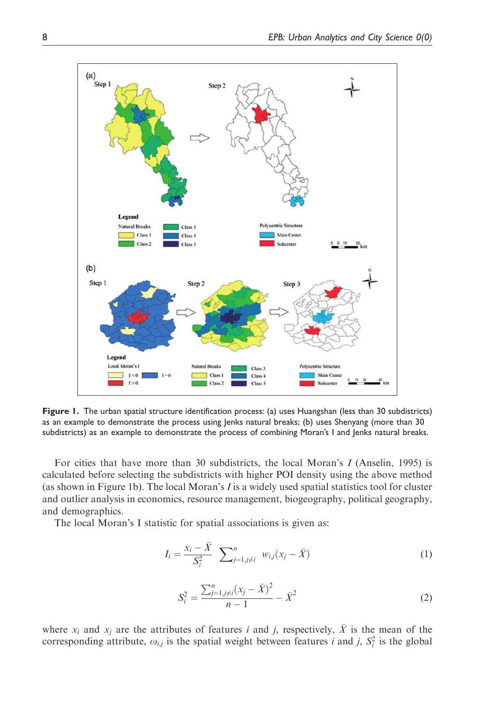

Figure 1. The urban spatial structure identification process: (a) uses Huangshan (less than 30 subdistricts) as an example to demonstrate the process using Jenks natural breaks; (b) uses Shenyang (more than 30 subdistricts) as an example to demonstrate the process of combining Moran's I and Jenks natural breaks.

For cities that have more than 30 subdistricts, the local Moran's I (Anselin, 1995) is calculated before selecting the subdistricts with higher POI density using the above method (as shown in Figure 1b). The local Moran's  $I$  is a widely used spatial statistics tool for cluster and outlier analysis in economics, resource management, biogeography, political geography, and demographics.

The local Moran's I statistic for spatial associations is given as:

$$
I_i = \frac{x_i - \bar{X}}{S_i^2} \sum_{j=1, j \neq i}^{n} w_{i,j}(x_j - \bar{X})
$$
 (1)

$$
S_i^2 = \frac{\sum_{j=1, j \neq i}^n (x_j - \bar{X})^2}{n-1} - \bar{X}^2
$$
 (2)

where  $x_i$  and  $x_j$  are the attributes of features i and j, respectively,  $\bar{X}$  is the mean of the corresponding attribute,  $\omega_{i,j}$  is the spatial weight between features i and j,  $S_i^2$  is the global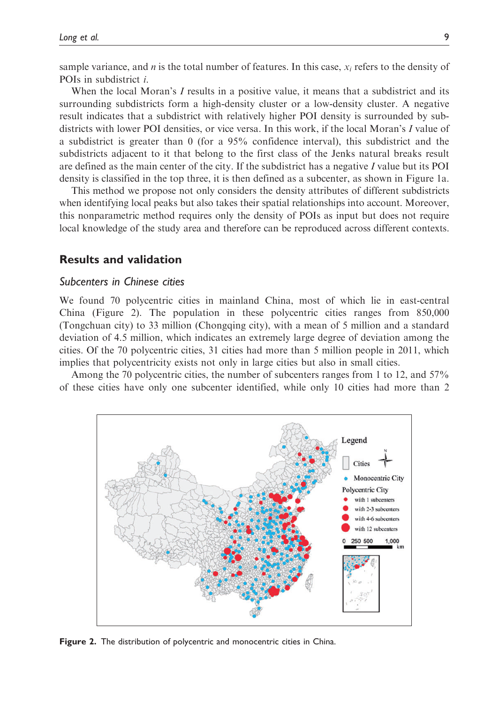sample variance, and *n* is the total number of features. In this case,  $x_i$  refers to the density of POIs in subdistrict i.

When the local Moran's  $I$  results in a positive value, it means that a subdistrict and its surrounding subdistricts form a high-density cluster or a low-density cluster. A negative result indicates that a subdistrict with relatively higher POI density is surrounded by subdistricts with lower POI densities, or vice versa. In this work, if the local Moran's I value of a subdistrict is greater than 0 (for a 95% confidence interval), this subdistrict and the subdistricts adjacent to it that belong to the first class of the Jenks natural breaks result are defined as the main center of the city. If the subdistrict has a negative  $I$  value but its POI density is classified in the top three, it is then defined as a subcenter, as shown in Figure 1a.

This method we propose not only considers the density attributes of different subdistricts when identifying local peaks but also takes their spatial relationships into account. Moreover, this nonparametric method requires only the density of POIs as input but does not require local knowledge of the study area and therefore can be reproduced across different contexts.

#### Results and validation

#### Subcenters in Chinese cities

We found 70 polycentric cities in mainland China, most of which lie in east-central China (Figure 2). The population in these polycentric cities ranges from 850,000 (Tongchuan city) to 33 million (Chongqing city), with a mean of 5 million and a standard deviation of 4.5 million, which indicates an extremely large degree of deviation among the cities. Of the 70 polycentric cities, 31 cities had more than 5 million people in 2011, which implies that polycentricity exists not only in large cities but also in small cities.

Among the 70 polycentric cities, the number of subcenters ranges from 1 to 12, and 57% of these cities have only one subcenter identified, while only 10 cities had more than 2



Figure 2. The distribution of polycentric and monocentric cities in China.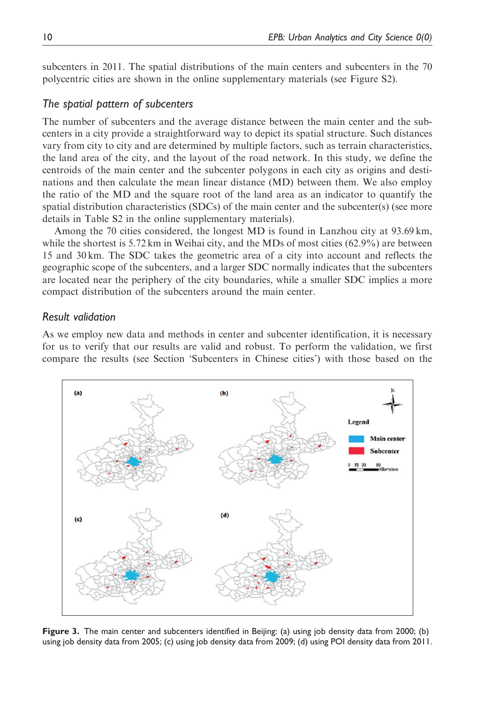subcenters in 2011. The spatial distributions of the main centers and subcenters in the 70 polycentric cities are shown in the online supplementary materials (see Figure S2).

#### The spatial pattern of subcenters

The number of subcenters and the average distance between the main center and the subcenters in a city provide a straightforward way to depict its spatial structure. Such distances vary from city to city and are determined by multiple factors, such as terrain characteristics, the land area of the city, and the layout of the road network. In this study, we define the centroids of the main center and the subcenter polygons in each city as origins and destinations and then calculate the mean linear distance (MD) between them. We also employ the ratio of the MD and the square root of the land area as an indicator to quantify the spatial distribution characteristics (SDCs) of the main center and the subcenter(s) (see more details in Table S2 in the online supplementary materials).

Among the 70 cities considered, the longest MD is found in Lanzhou city at 93.69 km, while the shortest is 5.72 km in Weihai city, and the MDs of most cities (62.9%) are between 15 and 30 km. The SDC takes the geometric area of a city into account and reflects the geographic scope of the subcenters, and a larger SDC normally indicates that the subcenters are located near the periphery of the city boundaries, while a smaller SDC implies a more compact distribution of the subcenters around the main center.

#### Result validation

As we employ new data and methods in center and subcenter identification, it is necessary for us to verify that our results are valid and robust. To perform the validation, we first compare the results (see Section 'Subcenters in Chinese cities') with those based on the



Figure 3. The main center and subcenters identified in Beijing: (a) using job density data from 2000; (b) using job density data from 2005; (c) using job density data from 2009; (d) using POI density data from 2011.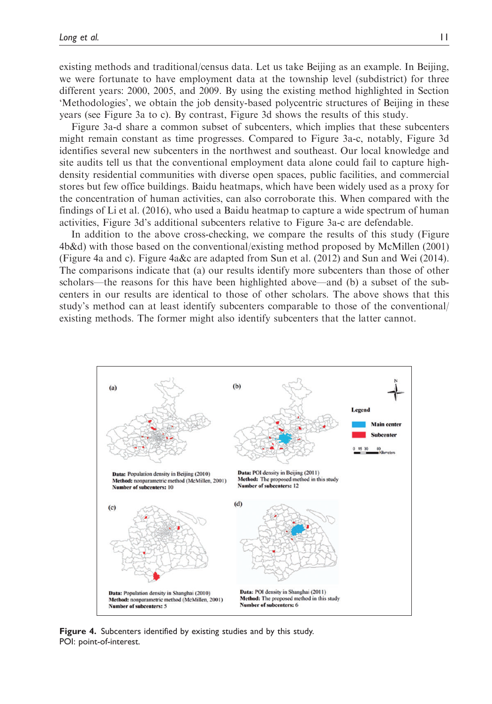existing methods and traditional/census data. Let us take Beijing as an example. In Beijing, we were fortunate to have employment data at the township level (subdistrict) for three different years: 2000, 2005, and 2009. By using the existing method highlighted in Section 'Methodologies', we obtain the job density-based polycentric structures of Beijing in these years (see Figure 3a to c). By contrast, Figure 3d shows the results of this study.

Figure 3a-d share a common subset of subcenters, which implies that these subcenters might remain constant as time progresses. Compared to Figure 3a-c, notably, Figure 3d identifies several new subcenters in the northwest and southeast. Our local knowledge and site audits tell us that the conventional employment data alone could fail to capture highdensity residential communities with diverse open spaces, public facilities, and commercial stores but few office buildings. Baidu heatmaps, which have been widely used as a proxy for the concentration of human activities, can also corroborate this. When compared with the findings of Li et al. (2016), who used a Baidu heatmap to capture a wide spectrum of human activities, Figure 3d's additional subcenters relative to Figure 3a-c are defendable.

In addition to the above cross-checking, we compare the results of this study (Figure 4b&d) with those based on the conventional/existing method proposed by McMillen (2001) (Figure 4a and c). Figure 4a&c are adapted from Sun et al. (2012) and Sun and Wei (2014). The comparisons indicate that (a) our results identify more subcenters than those of other scholars—the reasons for this have been highlighted above—and (b) a subset of the subcenters in our results are identical to those of other scholars. The above shows that this study's method can at least identify subcenters comparable to those of the conventional/ existing methods. The former might also identify subcenters that the latter cannot.



Figure 4. Subcenters identified by existing studies and by this study. POI: point-of-interest.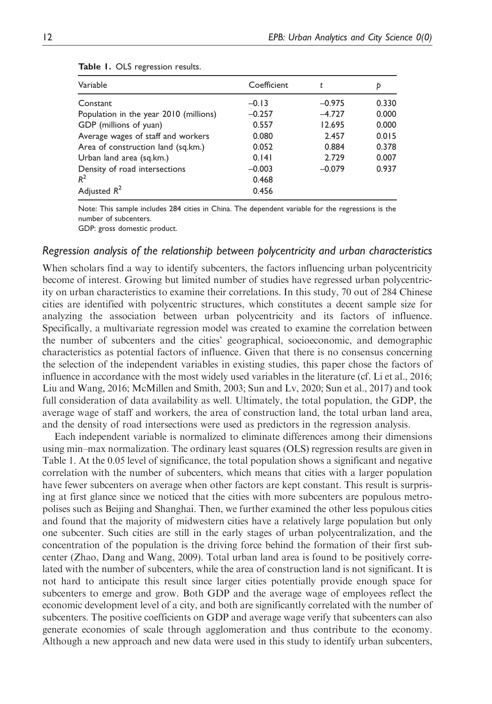| Variable                               | Coefficient | t        | Þ     |
|----------------------------------------|-------------|----------|-------|
| Constant                               | $-0.13$     | $-0.975$ | 0.330 |
| Population in the year 2010 (millions) | $-0.257$    | $-4.727$ | 0.000 |
| GDP (millions of yuan)                 | 0.557       | 12.695   | 0.000 |
| Average wages of staff and workers     | 0.080       | 2.457    | 0.015 |
| Area of construction land (sq.km.)     | 0.052       | 0.884    | 0.378 |
| Urban land area (sq.km.)               | 0.141       | 2.729    | 0.007 |
| Density of road intersections          | $-0.003$    | $-0.079$ | 0.937 |
| $R^2$                                  | 0.468       |          |       |
| Adjusted $R^2$                         | 0.456       |          |       |

|  |  |  | Table 1. OLS regression results. |  |
|--|--|--|----------------------------------|--|
|--|--|--|----------------------------------|--|

Note: This sample includes 284 cities in China. The dependent variable for the regressions is the number of subcenters.

GDP: gross domestic product.

#### Regression analysis of the relationship between polycentricity and urban characteristics

When scholars find a way to identify subcenters, the factors influencing urban polycentricity become of interest. Growing but limited number of studies have regressed urban polycentricity on urban characteristics to examine their correlations. In this study, 70 out of 284 Chinese cities are identified with polycentric structures, which constitutes a decent sample size for analyzing the association between urban polycentricity and its factors of influence. Specifically, a multivariate regression model was created to examine the correlation between the number of subcenters and the cities' geographical, socioeconomic, and demographic characteristics as potential factors of influence. Given that there is no consensus concerning the selection of the independent variables in existing studies, this paper chose the factors of influence in accordance with the most widely used variables in the literature (cf. Li et al., 2016; Liu and Wang, 2016; McMillen and Smith, 2003; Sun and Lv, 2020; Sun et al., 2017) and took full consideration of data availability as well. Ultimately, the total population, the GDP, the average wage of staff and workers, the area of construction land, the total urban land area, and the density of road intersections were used as predictors in the regression analysis.

Each independent variable is normalized to eliminate differences among their dimensions using min–max normalization. The ordinary least squares (OLS) regression results are given in Table 1. At the 0.05 level of significance, the total population shows a significant and negative correlation with the number of subcenters, which means that cities with a larger population have fewer subcenters on average when other factors are kept constant. This result is surprising at first glance since we noticed that the cities with more subcenters are populous metropolises such as Beijing and Shanghai. Then, we further examined the other less populous cities and found that the majority of midwestern cities have a relatively large population but only one subcenter. Such cities are still in the early stages of urban polycentralization, and the concentration of the population is the driving force behind the formation of their first subcenter (Zhao, Dang and Wang, 2009). Total urban land area is found to be positively correlated with the number of subcenters, while the area of construction land is not significant. It is not hard to anticipate this result since larger cities potentially provide enough space for subcenters to emerge and grow. Both GDP and the average wage of employees reflect the economic development level of a city, and both are significantly correlated with the number of subcenters. The positive coefficients on GDP and average wage verify that subcenters can also generate economies of scale through agglomeration and thus contribute to the economy. Although a new approach and new data were used in this study to identify urban subcenters,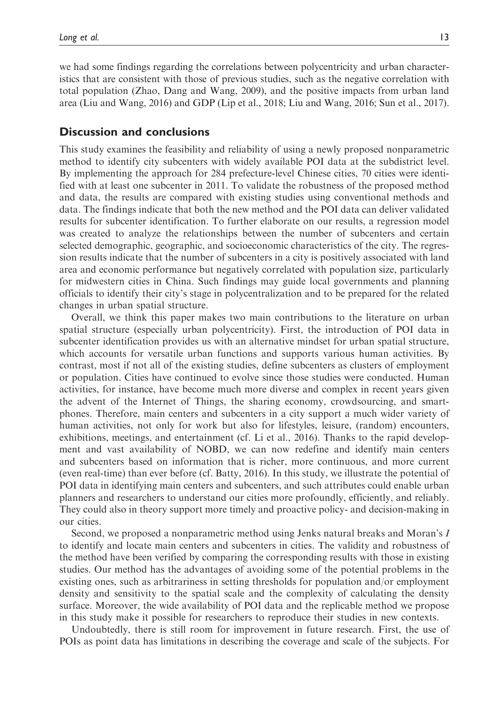we had some findings regarding the correlations between polycentricity and urban characteristics that are consistent with those of previous studies, such as the negative correlation with total population (Zhao, Dang and Wang, 2009), and the positive impacts from urban land area (Liu and Wang, 2016) and GDP (Lip et al., 2018; Liu and Wang, 2016; Sun et al., 2017).

#### Discussion and conclusions

This study examines the feasibility and reliability of using a newly proposed nonparametric method to identify city subcenters with widely available POI data at the subdistrict level. By implementing the approach for 284 prefecture-level Chinese cities, 70 cities were identified with at least one subcenter in 2011. To validate the robustness of the proposed method and data, the results are compared with existing studies using conventional methods and data. The findings indicate that both the new method and the POI data can deliver validated results for subcenter identification. To further elaborate on our results, a regression model was created to analyze the relationships between the number of subcenters and certain selected demographic, geographic, and socioeconomic characteristics of the city. The regression results indicate that the number of subcenters in a city is positively associated with land area and economic performance but negatively correlated with population size, particularly for midwestern cities in China. Such findings may guide local governments and planning officials to identify their city's stage in polycentralization and to be prepared for the related changes in urban spatial structure.

Overall, we think this paper makes two main contributions to the literature on urban spatial structure (especially urban polycentricity). First, the introduction of POI data in subcenter identification provides us with an alternative mindset for urban spatial structure, which accounts for versatile urban functions and supports various human activities. By contrast, most if not all of the existing studies, define subcenters as clusters of employment or population. Cities have continued to evolve since those studies were conducted. Human activities, for instance, have become much more diverse and complex in recent years given the advent of the Internet of Things, the sharing economy, crowdsourcing, and smartphones. Therefore, main centers and subcenters in a city support a much wider variety of human activities, not only for work but also for lifestyles, leisure, (random) encounters, exhibitions, meetings, and entertainment (cf. Li et al., 2016). Thanks to the rapid development and vast availability of NOBD, we can now redefine and identify main centers and subcenters based on information that is richer, more continuous, and more current (even real-time) than ever before (cf. Batty, 2016). In this study, we illustrate the potential of POI data in identifying main centers and subcenters, and such attributes could enable urban planners and researchers to understand our cities more profoundly, efficiently, and reliably. They could also in theory support more timely and proactive policy- and decision-making in our cities.

Second, we proposed a nonparametric method using Jenks natural breaks and Moran's I to identify and locate main centers and subcenters in cities. The validity and robustness of the method have been verified by comparing the corresponding results with those in existing studies. Our method has the advantages of avoiding some of the potential problems in the existing ones, such as arbitrariness in setting thresholds for population and/or employment density and sensitivity to the spatial scale and the complexity of calculating the density surface. Moreover, the wide availability of POI data and the replicable method we propose in this study make it possible for researchers to reproduce their studies in new contexts.

Undoubtedly, there is still room for improvement in future research. First, the use of POIs as point data has limitations in describing the coverage and scale of the subjects. For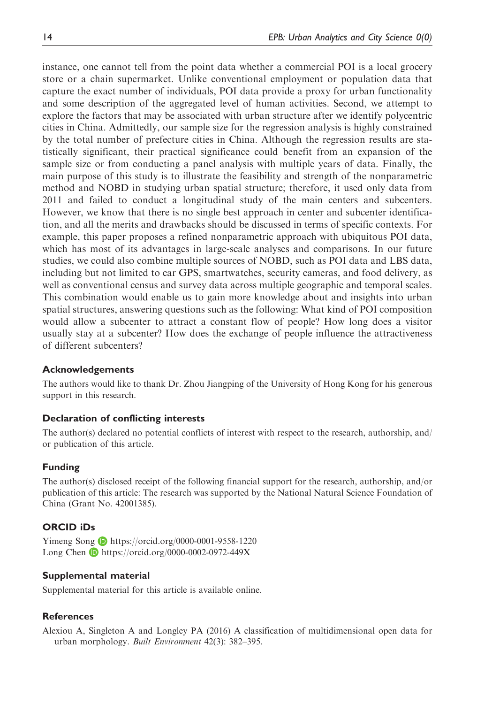instance, one cannot tell from the point data whether a commercial POI is a local grocery store or a chain supermarket. Unlike conventional employment or population data that capture the exact number of individuals, POI data provide a proxy for urban functionality and some description of the aggregated level of human activities. Second, we attempt to explore the factors that may be associated with urban structure after we identify polycentric cities in China. Admittedly, our sample size for the regression analysis is highly constrained by the total number of prefecture cities in China. Although the regression results are statistically significant, their practical significance could benefit from an expansion of the sample size or from conducting a panel analysis with multiple years of data. Finally, the main purpose of this study is to illustrate the feasibility and strength of the nonparametric method and NOBD in studying urban spatial structure; therefore, it used only data from 2011 and failed to conduct a longitudinal study of the main centers and subcenters. However, we know that there is no single best approach in center and subcenter identification, and all the merits and drawbacks should be discussed in terms of specific contexts. For example, this paper proposes a refined nonparametric approach with ubiquitous POI data, which has most of its advantages in large-scale analyses and comparisons. In our future studies, we could also combine multiple sources of NOBD, such as POI data and LBS data, including but not limited to car GPS, smartwatches, security cameras, and food delivery, as well as conventional census and survey data across multiple geographic and temporal scales. This combination would enable us to gain more knowledge about and insights into urban spatial structures, answering questions such as the following: What kind of POI composition would allow a subcenter to attract a constant flow of people? How long does a visitor usually stay at a subcenter? How does the exchange of people influence the attractiveness of different subcenters?

## Acknowledgements

The authors would like to thank Dr. Zhou Jiangping of the University of Hong Kong for his generous support in this research.

## Declaration of conflicting interests

The author(s) declared no potential conflicts of interest with respect to the research, authorship, and/ or publication of this article.

## Funding

The author(s) disclosed receipt of the following financial support for the research, authorship, and/or publication of this article: The research was supported by the National Natural Science Foundation of China (Grant No. 42001385).

# ORCID iDs

Yimeng Song **D** <https://orcid.org/0000-0001-9558-1220> Long Chen D <https://orcid.org/0000-0002-0972-449X>

## Supplemental material

Supplemental material for this article is available online.

## References

Alexiou A, Singleton A and Longley PA (2016) A classification of multidimensional open data for urban morphology. Built Environment 42(3): 382–395.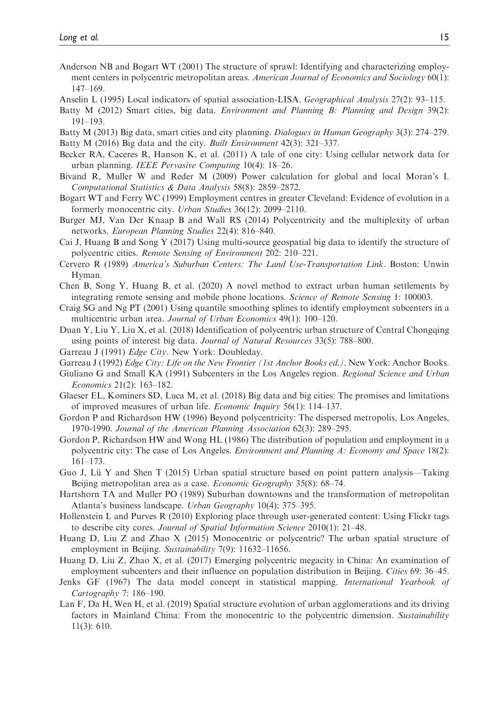- Anderson NB and Bogart WT (2001) The structure of sprawl: Identifying and characterizing employment centers in polycentric metropolitan areas. American Journal of Economics and Sociology 60(1): 147–169.
- Anselin L (1995) Local indicators of spatial association-LISA. Geographical Analysis 27(2): 93–115.
- Batty M (2012) Smart cities, big data. *Environment and Planning B: Planning and Design* 39(2): 191–193.
- Batty M (2013) Big data, smart cities and city planning. Dialogues in Human Geography 3(3): 274–279.
- Batty M (2016) Big data and the city. Built Environment 42(3): 321–337.
- Becker RA, Caceres R, Hanson K, et al. (2011) A tale of one city: Using cellular network data for urban planning. IEEE Pervasive Computing 10(4): 18–26.
- Bivand R, Muller W and Reder M (2009) Power calculation for global and local Moran's I. Computational Statistics & Data Analysis 58(8): 2859–2872.
- Bogart WT and Ferry WC (1999) Employment centres in greater Cleveland: Evidence of evolution in a formerly monocentric city. Urban Studies 36(12): 2099–2110.
- Burger MJ, Van Der Knaap B and Wall RS (2014) Polycentricity and the multiplexity of urban networks. European Planning Studies 22(4): 816–840.
- Cai J, Huang B and Song Y (2017) Using multi-source geospatial big data to identify the structure of polycentric cities. Remote Sensing of Environment 202: 210–221.
- Cervero R (1989) America's Suburban Centers: The Land Use-Transportation Link. Boston: Unwin Hyman.
- Chen B, Song Y, Huang B, et al. (2020) A novel method to extract urban human settlements by integrating remote sensing and mobile phone locations. Science of Remote Sensing 1: 100003.
- Craig SG and Ng PT (2001) Using quantile smoothing splines to identify employment subcenters in a multicentric urban area. Journal of Urban Economics 49(1): 100-120.
- Duan Y, Liu Y, Liu X, et al. (2018) Identification of polycentric urban structure of Central Chongqing using points of interest big data. Journal of Natural Resources 33(5): 788–800.
- Garreau J (1991) Edge City. New York: Doubleday.
- Garreau J (1992) Edge City: Life on the New Frontier (1st Anchor Books ed.). New York: Anchor Books.
- Giuliano G and Small KA (1991) Subcenters in the Los Angeles region. Regional Science and Urban Economics 21(2): 163–182.
- Glaeser EL, Kominers SD, Luca M, et al. (2018) Big data and big cities: The promises and limitations of improved measures of urban life. Economic Inquiry 56(1): 114–137.
- Gordon P and Richardson HW (1996) Beyond polycentricity: The dispersed metropolis, Los Angeles, 1970-1990. Journal of the American Planning Association 62(3): 289–295.
- Gordon P, Richardson HW and Wong HL (1986) The distribution of population and employment in a polycentric city: The case of Los Angeles. *Environment and Planning A: Economy and Space* 18(2): 161–173.
- Guo J, Lü Y and Shen T (2015) Urban spatial structure based on point pattern analysis—Taking Beijing metropolitan area as a case. Economic Geography 35(8): 68-74.
- Hartshorn TA and Muller PO (1989) Suburban downtowns and the transformation of metropolitan Atlanta's business landscape. Urban Geography 10(4): 375–395.
- Hollenstein L and Purves R (2010) Exploring place through user-generated content: Using Flickr tags to describe city cores. Journal of Spatial Information Science 2010(1): 21–48.
- Huang D, Liu Z and Zhao X (2015) Monocentric or polycentric? The urban spatial structure of employment in Beijing. Sustainability 7(9): 11632-11656.
- Huang D, Liu Z, Zhao X, et al. (2017) Emerging polycentric megacity in China: An examination of employment subcenters and their influence on population distribution in Beijing. Cities 69: 36–45.
- Jenks GF (1967) The data model concept in statistical mapping. International Yearbook of Cartography 7: 186–190.
- Lan F, Da H, Wen H, et al. (2019) Spatial structure evolution of urban agglomerations and its driving factors in Mainland China: From the monocentric to the polycentric dimension. Sustainability 11(3): 610.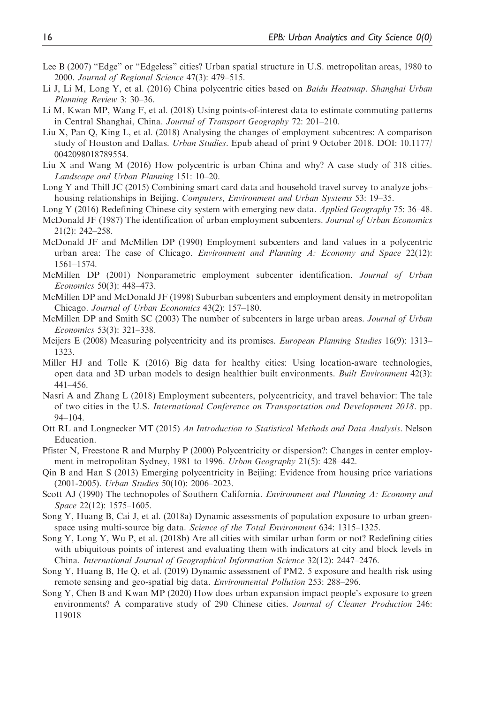- Lee B (2007) "Edge" or "Edgeless" cities? Urban spatial structure in U.S. metropolitan areas, 1980 to 2000. Journal of Regional Science 47(3): 479–515.
- Li J, Li M, Long Y, et al. (2016) China polycentric cities based on *Baidu Heatmap. Shanghai Urban* Planning Review 3: 30–36.
- Li M, Kwan MP, Wang F, et al. (2018) Using points-of-interest data to estimate commuting patterns in Central Shanghai, China. Journal of Transport Geography 72: 201–210.
- Liu X, Pan Q, King L, et al. (2018) Analysing the changes of employment subcentres: A comparison study of Houston and Dallas. Urban Studies. Epub ahead of print 9 October 2018. DOI: 10.1177/ 0042098018789554.
- Liu X and Wang M (2016) How polycentric is urban China and why? A case study of 318 cities. Landscape and Urban Planning 151: 10–20.
- Long Y and Thill JC (2015) Combining smart card data and household travel survey to analyze jobs– housing relationships in Beijing. Computers, Environment and Urban Systems 53: 19–35.
- Long Y (2016) Redefining Chinese city system with emerging new data. Applied Geography 75: 36–48.
- McDonald JF (1987) The identification of urban employment subcenters. Journal of Urban Economics 21(2): 242–258.
- McDonald JF and McMillen DP (1990) Employment subcenters and land values in a polycentric urban area: The case of Chicago. *Environment and Planning A: Economy and Space 22(12)*: 1561–1574.
- McMillen DP (2001) Nonparametric employment subcenter identification. Journal of Urban Economics 50(3): 448–473.
- McMillen DP and McDonald JF (1998) Suburban subcenters and employment density in metropolitan Chicago. Journal of Urban Economics 43(2): 157–180.
- McMillen DP and Smith SC (2003) The number of subcenters in large urban areas. Journal of Urban Economics 53(3): 321–338.
- Meijers E (2008) Measuring polycentricity and its promises. European Planning Studies 16(9): 1313– 1323.
- Miller HJ and Tolle K (2016) Big data for healthy cities: Using location-aware technologies, open data and 3D urban models to design healthier built environments. Built Environment 42(3): 441–456.
- Nasri A and Zhang L (2018) Employment subcenters, polycentricity, and travel behavior: The tale of two cities in the U.S. International Conference on Transportation and Development 2018. pp. 94–104.
- Ott RL and Longnecker MT (2015) An Introduction to Statistical Methods and Data Analysis. Nelson Education.
- Pfister N, Freestone R and Murphy P (2000) Polycentricity or dispersion?: Changes in center employment in metropolitan Sydney, 1981 to 1996. Urban Geography 21(5): 428–442.
- Qin B and Han S (2013) Emerging polycentricity in Beijing: Evidence from housing price variations (2001-2005). Urban Studies 50(10): 2006–2023.
- Scott AJ (1990) The technopoles of Southern California. *Environment and Planning A: Economy and* Space 22(12): 1575-1605.
- Song Y, Huang B, Cai J, et al. (2018a) Dynamic assessments of population exposure to urban greenspace using multi-source big data. Science of the Total Environment 634: 1315–1325.
- Song Y, Long Y, Wu P, et al. (2018b) Are all cities with similar urban form or not? Redefining cities with ubiquitous points of interest and evaluating them with indicators at city and block levels in China. International Journal of Geographical Information Science 32(12): 2447–2476.
- Song Y, Huang B, He Q, et al. (2019) Dynamic assessment of PM2. 5 exposure and health risk using remote sensing and geo-spatial big data. Environmental Pollution 253: 288–296.
- Song Y, Chen B and Kwan MP (2020) How does urban expansion impact people's exposure to green environments? A comparative study of 290 Chinese cities. Journal of Cleaner Production 246: 119018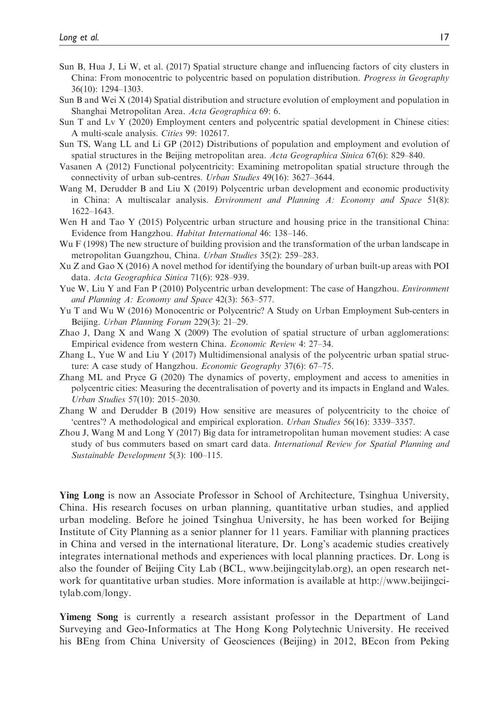- Sun B, Hua J, Li W, et al. (2017) Spatial structure change and influencing factors of city clusters in China: From monocentric to polycentric based on population distribution. Progress in Geography 36(10): 1294–1303.
- Sun B and Wei X (2014) Spatial distribution and structure evolution of employment and population in Shanghai Metropolitan Area. Acta Geographica 69: 6.
- Sun T and Lv Y (2020) Employment centers and polycentric spatial development in Chinese cities: A multi-scale analysis. Cities 99: 102617.
- Sun TS, Wang LL and Li GP (2012) Distributions of population and employment and evolution of spatial structures in the Beijing metropolitan area. Acta Geographica Sinica 67(6): 829–840.
- Vasanen A (2012) Functional polycentricity: Examining metropolitan spatial structure through the connectivity of urban sub-centres. Urban Studies 49(16): 3627–3644.
- Wang M, Derudder B and Liu X (2019) Polycentric urban development and economic productivity in China: A multiscalar analysis. Environment and Planning  $A$ : Economy and Space 51(8): 1622–1643.
- Wen H and Tao Y (2015) Polycentric urban structure and housing price in the transitional China: Evidence from Hangzhou. Habitat International 46: 138–146.
- Wu F (1998) The new structure of building provision and the transformation of the urban landscape in metropolitan Guangzhou, China. Urban Studies 35(2): 259–283.
- Xu Z and Gao X (2016) A novel method for identifying the boundary of urban built-up areas with POI data. Acta Geographica Sinica 71(6): 928–939.
- Yue W, Liu Y and Fan P (2010) Polycentric urban development: The case of Hangzhou. Environment and Planning A: Economy and Space 42(3): 563–577.
- Yu T and Wu W (2016) Monocentric or Polycentric? A Study on Urban Employment Sub-centers in Beijing. Urban Planning Forum 229(3): 21–29.
- Zhao J, Dang X and Wang X (2009) The evolution of spatial structure of urban agglomerations: Empirical evidence from western China. Economic Review 4: 27–34.
- Zhang L, Yue W and Liu Y (2017) Multidimensional analysis of the polycentric urban spatial structure: A case study of Hangzhou. Economic Geography 37(6): 67–75.
- Zhang ML and Pryce G (2020) The dynamics of poverty, employment and access to amenities in polycentric cities: Measuring the decentralisation of poverty and its impacts in England and Wales. Urban Studies 57(10): 2015–2030.
- Zhang W and Derudder B (2019) How sensitive are measures of polycentricity to the choice of 'centres'? A methodological and empirical exploration. Urban Studies 56(16): 3339–3357.
- Zhou J, Wang M and Long Y (2017) Big data for intrametropolitan human movement studies: A case study of bus commuters based on smart card data. International Review for Spatial Planning and Sustainable Development 5(3): 100–115.

Ying Long is now an Associate Professor in School of Architecture, Tsinghua University, China. His research focuses on urban planning, quantitative urban studies, and applied urban modeling. Before he joined Tsinghua University, he has been worked for Beijing Institute of City Planning as a senior planner for 11 years. Familiar with planning practices in China and versed in the international literature, Dr. Long's academic studies creatively integrates international methods and experiences with local planning practices. Dr. Long is also the founder of Beijing City Lab (BCL, www.beijingcitylab.org), an open research network for quantitative urban studies. More information is available at http://www.beijingcitylab.com/longy.

Yimeng Song is currently a research assistant professor in the Department of Land Surveying and Geo-Informatics at The Hong Kong Polytechnic University. He received his BEng from China University of Geosciences (Beijing) in 2012, BEcon from Peking